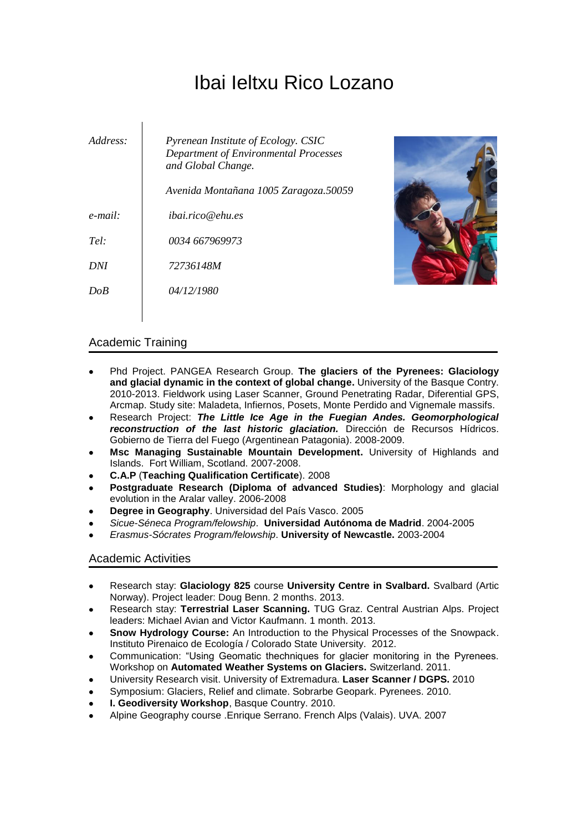# Ibai Ieltxu Rico Lozano

| Address:    | <i>Pyrenean Institute of Ecology. CSIC</i><br>Department of Environmental Processes<br>and Global Change. |
|-------------|-----------------------------------------------------------------------------------------------------------|
|             | Avenida Montañana 1005 Zaragoza.50059                                                                     |
| $e$ -mail:  | ibai rico@ehu es                                                                                          |
| $Tel \cdot$ | 0034 667969973                                                                                            |
| DNI         | 72736148M                                                                                                 |
| DoR         | 04/12/1980                                                                                                |
|             |                                                                                                           |



# Academic Training

- Phd Project. PANGEA Research Group. **The glaciers of the Pyrenees: Glaciology**   $\bullet$ **and glacial dynamic in the context of global change.** University of the Basque Contry. 2010-2013. Fieldwork using Laser Scanner, Ground Penetrating Radar, Diferential GPS, Arcmap. Study site: Maladeta, Infiernos, Posets, Monte Perdido and Vignemale massifs.
- Research Project: *The Little Ice Age in the Fuegian Andes. Geomorphological reconstruction of the last historic glaciation.* Dirección de Recursos Hídricos. Gobierno de Tierra del Fuego (Argentinean Patagonia). 2008-2009.
- **Msc Managing Sustainable Mountain Development.** University of Highlands and Islands. Fort William, Scotland. 2007-2008.
- **C.A.P** (**Teaching Qualification Certificate**). 2008
- **Postgraduate Research (Diploma of advanced Studies)**: Morphology and glacial evolution in the Aralar valley. 2006-2008
- **Degree in Geography**. Universidad del País Vasco. 2005
- *Sicue-Séneca Program/felowship*. **Universidad Autónoma de Madrid**. 2004-2005
- *Erasmus-Sócrates Program/felowship*. **University of Newcastle.** 2003-2004

## Academic Activities

- Research stay: **Glaciology 825** course **University Centre in Svalbard.** Svalbard (Artic  $\bullet$ Norway). Project leader: Doug Benn. 2 months. 2013.
- Research stay: **Terrestrial Laser Scanning.** TUG Graz. Central Austrian Alps. Project leaders: Michael Avian and Victor Kaufmann. 1 month. 2013.
- **Snow Hydrology Course:** An Introduction to the Physical Processes of the Snowpack. Instituto Pirenaico de Ecología / Colorado State University. 2012.
- Communication: "Using Geomatic thechniques for glacier monitoring in the Pyrenees. Workshop on **Automated Weather Systems on Glaciers.** Switzerland. 2011.
- University Research visit. University of Extremadura. **Laser Scanner / DGPS.** 2010
- Symposium: Glaciers, Relief and climate. Sobrarbe Geopark. Pyrenees. 2010.
- **I. Geodiversity Workshop**, Basque Country. 2010.
- Alpine Geography course .Enrique Serrano. French Alps (Valais). UVA. 2007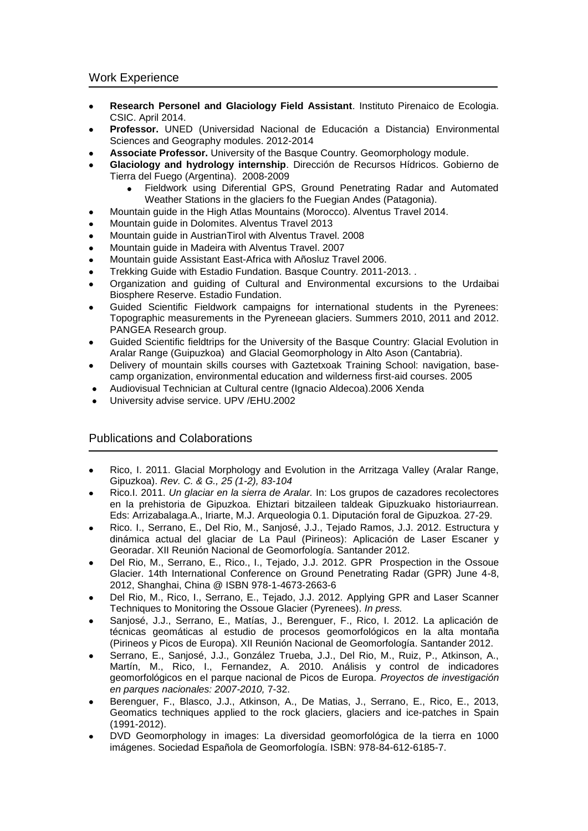#### Work Experience

- **Research Personel and Glaciology Field Assistant**. Instituto Pirenaico de Ecologia. CSIC. April 2014.
- **Professor.** UNED (Universidad Nacional de Educación a Distancia) Environmental Sciences and Geography modules. 2012-2014
- **Associate Professor.** University of the Basque Country. Geomorphology module.
- **Glaciology and hydrology internship**. Dirección de Recursos Hídricos. Gobierno de Tierra del Fuego (Argentina). 2008-2009
	- Fieldwork using Diferential GPS, Ground Penetrating Radar and Automated Weather Stations in the glaciers fo the Fuegian Andes (Patagonia).
- Mountain guide in the High Atlas Mountains (Morocco). Alventus Travel 2014.
- Mountain guide in Dolomites. Alventus Travel 2013
- Mountain guide in AustrianTirol with Alventus Travel. 2008
- Mountain guide in Madeira with Alventus Travel. 2007
- Mountain guide Assistant East-Africa with Añosluz Travel 2006.
- Trekking Guide with Estadio Fundation. Basque Country. 2011-2013. .
- Organization and guiding of Cultural and Environmental excursions to the Urdaibai Biosphere Reserve. Estadio Fundation.
- Guided Scientific Fieldwork campaigns for international students in the Pyrenees: Topographic measurements in the Pyreneean glaciers. Summers 2010, 2011 and 2012. PANGEA Research group.
- Guided Scientific fieldtrips for the University of the Basque Country: Glacial Evolution in Aralar Range (Guipuzkoa) and Glacial Geomorphology in Alto Ason (Cantabria).
- Delivery of mountain skills courses with Gaztetxoak Training School: navigation, basecamp organization, environmental education and wilderness first-aid courses. 2005
- Audiovisual Technician at Cultural centre (Ignacio Aldecoa).2006 Xenda
- University advise service. UPV /EHU.2002

## Publications and Colaborations

- Rico, I. 2011. Glacial Morphology and Evolution in the Arritzaga Valley (Aralar Range, Gipuzkoa). *Rev. C. & G., 25 (1-2), 83-104*
- Rico.I. 2011. *Un glaciar en la sierra de Aralar.* In: Los grupos de cazadores recolectores en la prehistoria de Gipuzkoa. Ehiztari bitzaileen taldeak Gipuzkuako historiaurrean. Eds: Arrizabalaga.A., Iriarte, M.J. Arqueologia 0.1. Diputación foral de Gipuzkoa. 27-29.
- Rico. I., Serrano, E., Del Rio, M., Sanjosé, J.J., Tejado Ramos, J.J. 2012. Estructura y dinámica actual del glaciar de La Paul (Pirineos): Aplicación de Laser Escaner y Georadar. XII Reunión Nacional de Geomorfología. Santander 2012.
- Del Rio, M., Serrano, E., Rico., I., Tejado, J.J. 2012. GPR Prospection in the Ossoue Glacier. 14th International Conference on Ground Penetrating Radar (GPR) June 4-8, 2012, Shanghai, China @ ISBN 978-1-4673-2663-6
- Del Rio, M., Rico, I., Serrano, E., Tejado, J.J. 2012. Applying GPR and Laser Scanner Techniques to Monitoring the Ossoue Glacier (Pyrenees). *In press.*
- Sanjosé, J.J., Serrano, E., Matías, J., Berenguer, F., Rico, I. 2012. La aplicación de técnicas geomáticas al estudio de procesos geomorfológicos en la alta montaña (Pirineos y Picos de Europa). XII Reunión Nacional de Geomorfología. Santander 2012.
- Serrano, E., Sanjosé, J.J., González Trueba, J.J., Del Rio, M., Ruiz, P., Atkinson, A., Martín, M., Rico, I., Fernandez, A. 2010. Análisis y control de indicadores geomorfológicos en el parque nacional de Picos de Europa. *Proyectos de investigación en parques nacionales: 2007-2010,* 7-32.
- Berenguer, F., Blasco, J.J., Atkinson, A., De Matias, J., Serrano, E., Rico, E., 2013, Geomatics techniques applied to the rock glaciers, glaciers and ice-patches in Spain (1991-2012).
- DVD Geomorphology in images: La diversidad geomorfológica de la tierra en 1000 imágenes. Sociedad Española de Geomorfología. ISBN: 978-84-612-6185-7.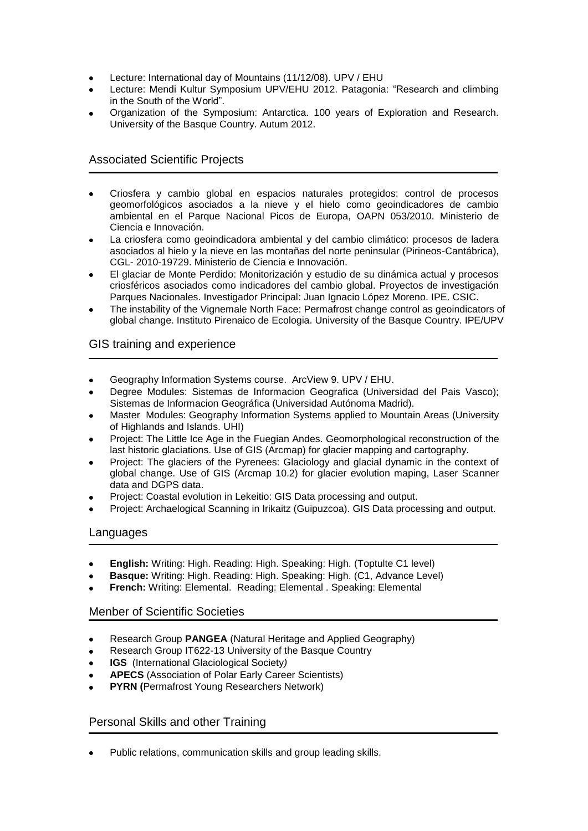- Lecture: International day of Mountains (11/12/08). UPV / EHU
- Lecture: Mendi Kultur Symposium UPV/EHU 2012. Patagonia: "Research and climbing in the South of the World".
- Organization of the Symposium: Antarctica. 100 years of Exploration and Research. University of the Basque Country. Autum 2012.

## Associated Scientific Projects

- Criosfera y cambio global en espacios naturales protegidos: control de procesos geomorfológicos asociados a la nieve y el hielo como geoindicadores de cambio ambiental en el Parque Nacional Picos de Europa, OAPN 053/2010. Ministerio de Ciencia e Innovación.
- La criosfera como geoindicadora ambiental y del cambio climático: procesos de ladera asociados al hielo y la nieve en las montañas del norte peninsular (Pirineos-Cantábrica), CGL- 2010-19729. Ministerio de Ciencia e Innovación.
- El glaciar de Monte Perdido: Monitorización y estudio de su dinámica actual y procesos criosféricos asociados como indicadores del cambio global. Proyectos de investigación Parques Nacionales. Investigador Principal: Juan Ignacio López Moreno. IPE. CSIC.
- The instability of the Vignemale North Face: Permafrost change control as geoindicators of global change. Instituto Pirenaico de Ecologia. University of the Basque Country. IPE/UPV

#### GIS training and experience

- Geography Information Systems course. ArcView 9. UPV / EHU.
- Degree Modules: Sistemas de Informacion Geografica (Universidad del Pais Vasco); Sistemas de Informacion Geográfica (Universidad Autónoma Madrid).
- Master Modules: Geography Information Systems applied to Mountain Areas (University of Highlands and Islands. UHI)
- Project: The Little Ice Age in the Fuegian Andes. Geomorphological reconstruction of the last historic glaciations. Use of GIS (Arcmap) for glacier mapping and cartography.
- Project: The glaciers of the Pyrenees: Glaciology and glacial dynamic in the context of global change. Use of GIS (Arcmap 10.2) for glacier evolution maping, Laser Scanner data and DGPS data.
- Project: Coastal evolution in Lekeitio: GIS Data processing and output.
- Project: Archaelogical Scanning in Irikaitz (Guipuzcoa). GIS Data processing and output.

#### Languages

- **English:** Writing: High. Reading: High. Speaking: High. (Toptulte C1 level)
- **Basque:** Writing: High. Reading: High. Speaking: High. (C1, Advance Level)
- **French:** Writing: Elemental. Reading: Elemental . Speaking: Elemental

#### Menber of Scientific Societies

- Research Group **PANGEA** (Natural Heritage and Applied Geography)
- Research Group IT622-13 University of the Basque Country
- **IGS** (International Glaciological Society*)*
- **APECS** (Association of Polar Early Career Scientists)
- **PYRN (**Permafrost Young Researchers Network)

## Personal Skills and other Training

Public relations, communication skills and group leading skills.